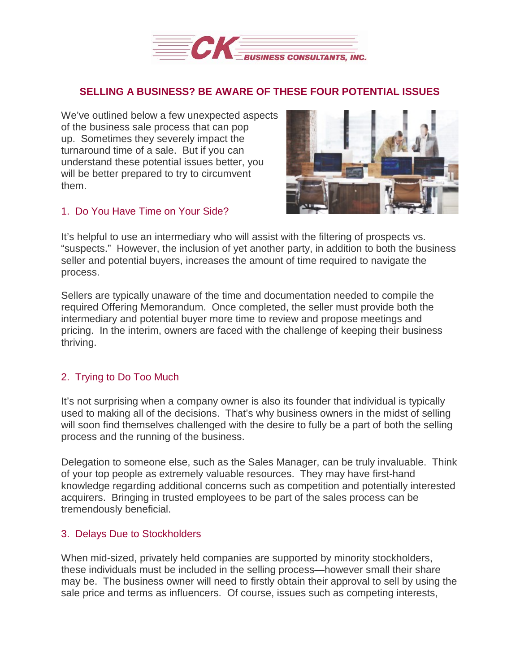

## **SELLING A BUSINESS? BE AWARE OF THESE FOUR POTENTIAL ISSUES**

We've outlined below a few unexpected aspects of the business sale process that can pop up. Sometimes they severely impact the turnaround time of a sale. But if you can understand these potential issues better, you will be better prepared to try to circumvent them.

#### 1. Do You Have Time on Your Side?



It's helpful to use an intermediary who will assist with the filtering of prospects vs. "suspects." However, the inclusion of yet another party, in addition to both the business seller and potential buyers, increases the amount of time required to navigate the process.

Sellers are typically unaware of the time and documentation needed to compile the required Offering Memorandum. Once completed, the seller must provide both the intermediary and potential buyer more time to review and propose meetings and pricing. In the interim, owners are faced with the challenge of keeping their business thriving.

# 2. Trying to Do Too Much

It's not surprising when a company owner is also its founder that individual is typically used to making all of the decisions. That's why business owners in the midst of selling will soon find themselves challenged with the desire to fully be a part of both the selling process and the running of the business.

Delegation to someone else, such as the Sales Manager, can be truly invaluable. Think of your top people as extremely valuable resources. They may have first-hand knowledge regarding additional concerns such as competition and potentially interested acquirers. Bringing in trusted employees to be part of the sales process can be tremendously beneficial.

### 3. Delays Due to Stockholders

When mid-sized, privately held companies are supported by minority stockholders, these individuals must be included in the selling process—however small their share may be. The business owner will need to firstly obtain their approval to sell by using the sale price and terms as influencers. Of course, issues such as competing interests,